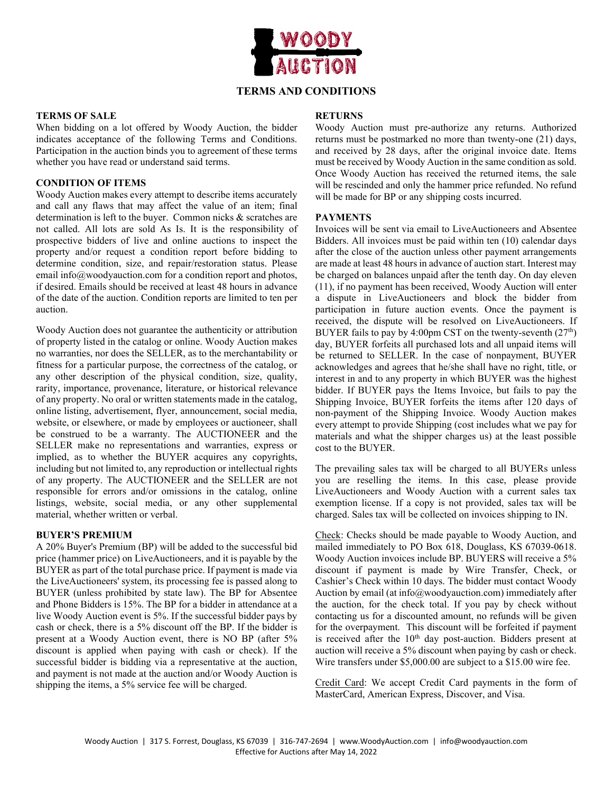

# **TERMS AND CONDITIONS**

## **TERMS OF SALE**

When bidding on a lot offered by Woody Auction, the bidder indicates acceptance of the following Terms and Conditions. Participation in the auction binds you to agreement of these terms whether you have read or understand said terms.

# **CONDITION OF ITEMS**

Woody Auction makes every attempt to describe items accurately and call any flaws that may affect the value of an item; final determination is left to the buyer. Common nicks & scratches are not called. All lots are sold As Is. It is the responsibility of prospective bidders of live and online auctions to inspect the property and/or request a condition report before bidding to determine condition, size, and repair/restoration status. Please email info@woodyauction.com for a condition report and photos, if desired. Emails should be received at least 48 hours in advance of the date of the auction. Condition reports are limited to ten per auction.

Woody Auction does not guarantee the authenticity or attribution of property listed in the catalog or online. Woody Auction makes no warranties, nor does the SELLER, as to the merchantability or fitness for a particular purpose, the correctness of the catalog, or any other description of the physical condition, size, quality, rarity, importance, provenance, literature, or historical relevance of any property. No oral or written statements made in the catalog, online listing, advertisement, flyer, announcement, social media, website, or elsewhere, or made by employees or auctioneer, shall be construed to be a warranty. The AUCTIONEER and the SELLER make no representations and warranties, express or implied, as to whether the BUYER acquires any copyrights, including but not limited to, any reproduction or intellectual rights of any property. The AUCTIONEER and the SELLER are not responsible for errors and/or omissions in the catalog, online listings, website, social media, or any other supplemental material, whether written or verbal.

#### **BUYER'S PREMIUM**

A 20% Buyer's Premium (BP) will be added to the successful bid price (hammer price) on LiveAuctioneers, and it is payable by the BUYER as part of the total purchase price. If payment is made via the LiveAuctioneers' system, its processing fee is passed along to BUYER (unless prohibited by state law). The BP for Absentee and Phone Bidders is 15%. The BP for a bidder in attendance at a live Woody Auction event is 5%. If the successful bidder pays by cash or check, there is a 5% discount off the BP. If the bidder is present at a Woody Auction event, there is NO BP (after 5% discount is applied when paying with cash or check). If the successful bidder is bidding via a representative at the auction, and payment is not made at the auction and/or Woody Auction is shipping the items, a 5% service fee will be charged.

## **RETURNS**

Woody Auction must pre-authorize any returns. Authorized returns must be postmarked no more than twenty-one (21) days, and received by 28 days, after the original invoice date. Items must be received by Woody Auction in the same condition as sold. Once Woody Auction has received the returned items, the sale will be rescinded and only the hammer price refunded. No refund will be made for BP or any shipping costs incurred.

# **PAYMENTS**

Invoices will be sent via email to LiveAuctioneers and Absentee Bidders. All invoices must be paid within ten (10) calendar days after the close of the auction unless other payment arrangements are made at least 48 hours in advance of auction start. Interest may be charged on balances unpaid after the tenth day. On day eleven (11), if no payment has been received, Woody Auction will enter a dispute in LiveAuctioneers and block the bidder from participation in future auction events. Once the payment is received, the dispute will be resolved on LiveAuctioneers. If BUYER fails to pay by 4:00pm CST on the twenty-seventh  $(27<sup>th</sup>)$ day, BUYER forfeits all purchased lots and all unpaid items will be returned to SELLER. In the case of nonpayment, BUYER acknowledges and agrees that he/she shall have no right, title, or interest in and to any property in which BUYER was the highest bidder. If BUYER pays the Items Invoice, but fails to pay the Shipping Invoice, BUYER forfeits the items after 120 days of non-payment of the Shipping Invoice. Woody Auction makes every attempt to provide Shipping (cost includes what we pay for materials and what the shipper charges us) at the least possible cost to the BUYER.

The prevailing sales tax will be charged to all BUYERs unless you are reselling the items. In this case, please provide LiveAuctioneers and Woody Auction with a current sales tax exemption license. If a copy is not provided, sales tax will be charged. Sales tax will be collected on invoices shipping to IN.

Check: Checks should be made payable to Woody Auction, and mailed immediately to PO Box 618, Douglass, KS 67039-0618. Woody Auction invoices include BP. BUYERS will receive a 5% discount if payment is made by Wire Transfer, Check, or Cashier's Check within 10 days. The bidder must contact Woody Auction by email (at info@woodyauction.com) immediately after the auction, for the check total. If you pay by check without contacting us for a discounted amount, no refunds will be given for the overpayment. This discount will be forfeited if payment is received after the 10<sup>th</sup> day post-auction. Bidders present at auction will receive a 5% discount when paying by cash or check. Wire transfers under \$5,000.00 are subject to a \$15.00 wire fee.

Credit Card: We accept Credit Card payments in the form of MasterCard, American Express, Discover, and Visa.